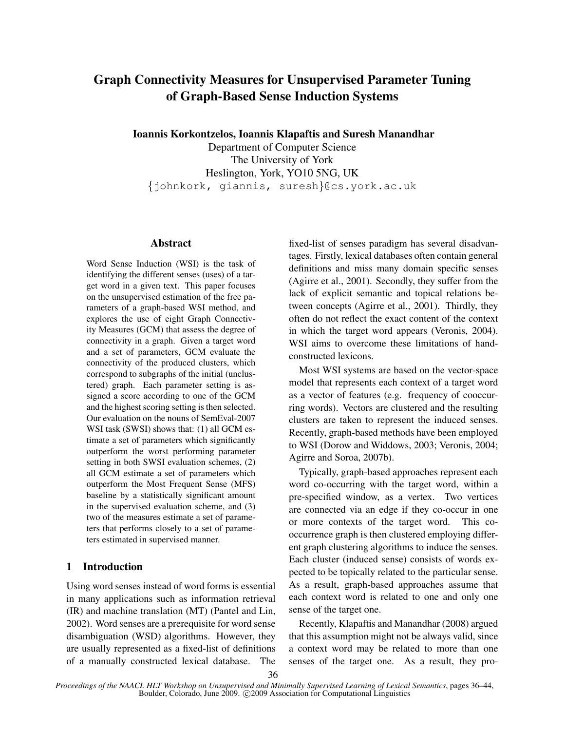# Graph Connectivity Measures for Unsupervised Parameter Tuning of Graph-Based Sense Induction Systems

Ioannis Korkontzelos, Ioannis Klapaftis and Suresh Manandhar

Department of Computer Science The University of York Heslington, York, YO10 5NG, UK {johnkork, giannis, suresh}@cs.york.ac.uk

# Abstract

Word Sense Induction (WSI) is the task of identifying the different senses (uses) of a target word in a given text. This paper focuses on the unsupervised estimation of the free parameters of a graph-based WSI method, and explores the use of eight Graph Connectivity Measures (GCM) that assess the degree of connectivity in a graph. Given a target word and a set of parameters, GCM evaluate the connectivity of the produced clusters, which correspond to subgraphs of the initial (unclustered) graph. Each parameter setting is assigned a score according to one of the GCM and the highest scoring setting is then selected. Our evaluation on the nouns of SemEval-2007 WSI task (SWSI) shows that: (1) all GCM estimate a set of parameters which significantly outperform the worst performing parameter setting in both SWSI evaluation schemes, (2) all GCM estimate a set of parameters which outperform the Most Frequent Sense (MFS) baseline by a statistically significant amount in the supervised evaluation scheme, and (3) two of the measures estimate a set of parameters that performs closely to a set of parameters estimated in supervised manner.

## 1 Introduction

Using word senses instead of word forms is essential in many applications such as information retrieval (IR) and machine translation (MT) (Pantel and Lin, 2002). Word senses are a prerequisite for word sense disambiguation (WSD) algorithms. However, they are usually represented as a fixed-list of definitions of a manually constructed lexical database. The fixed-list of senses paradigm has several disadvantages. Firstly, lexical databases often contain general definitions and miss many domain specific senses (Agirre et al., 2001). Secondly, they suffer from the lack of explicit semantic and topical relations between concepts (Agirre et al., 2001). Thirdly, they often do not reflect the exact content of the context in which the target word appears (Veronis, 2004). WSI aims to overcome these limitations of handconstructed lexicons.

Most WSI systems are based on the vector-space model that represents each context of a target word as a vector of features (e.g. frequency of cooccurring words). Vectors are clustered and the resulting clusters are taken to represent the induced senses. Recently, graph-based methods have been employed to WSI (Dorow and Widdows, 2003; Veronis, 2004; Agirre and Soroa, 2007b).

Typically, graph-based approaches represent each word co-occurring with the target word, within a pre-specified window, as a vertex. Two vertices are connected via an edge if they co-occur in one or more contexts of the target word. This cooccurrence graph is then clustered employing different graph clustering algorithms to induce the senses. Each cluster (induced sense) consists of words expected to be topically related to the particular sense. As a result, graph-based approaches assume that each context word is related to one and only one sense of the target one.

Recently, Klapaftis and Manandhar (2008) argued that this assumption might not be always valid, since a context word may be related to more than one senses of the target one. As a result, they pro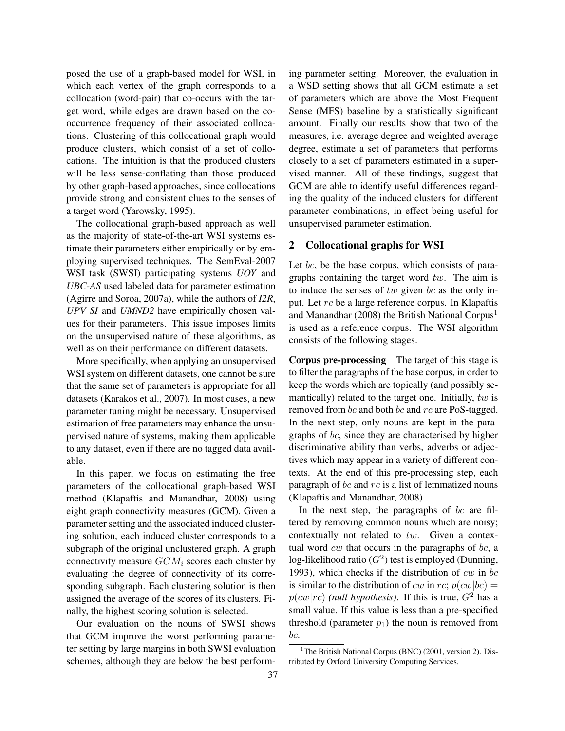posed the use of a graph-based model for WSI, in which each vertex of the graph corresponds to a collocation (word-pair) that co-occurs with the target word, while edges are drawn based on the cooccurrence frequency of their associated collocations. Clustering of this collocational graph would produce clusters, which consist of a set of collocations. The intuition is that the produced clusters will be less sense-conflating than those produced by other graph-based approaches, since collocations provide strong and consistent clues to the senses of a target word (Yarowsky, 1995).

The collocational graph-based approach as well as the majority of state-of-the-art WSI systems estimate their parameters either empirically or by employing supervised techniques. The SemEval-2007 WSI task (SWSI) participating systems *UOY* and *UBC-AS* used labeled data for parameter estimation (Agirre and Soroa, 2007a), while the authors of *I2R*, *UPV SI* and *UMND2* have empirically chosen values for their parameters. This issue imposes limits on the unsupervised nature of these algorithms, as well as on their performance on different datasets.

More specifically, when applying an unsupervised WSI system on different datasets, one cannot be sure that the same set of parameters is appropriate for all datasets (Karakos et al., 2007). In most cases, a new parameter tuning might be necessary. Unsupervised estimation of free parameters may enhance the unsupervised nature of systems, making them applicable to any dataset, even if there are no tagged data available.

In this paper, we focus on estimating the free parameters of the collocational graph-based WSI method (Klapaftis and Manandhar, 2008) using eight graph connectivity measures (GCM). Given a parameter setting and the associated induced clustering solution, each induced cluster corresponds to a subgraph of the original unclustered graph. A graph connectivity measure  $GCM_i$  scores each cluster by evaluating the degree of connectivity of its corresponding subgraph. Each clustering solution is then assigned the average of the scores of its clusters. Finally, the highest scoring solution is selected.

Our evaluation on the nouns of SWSI shows that GCM improve the worst performing parameter setting by large margins in both SWSI evaluation schemes, although they are below the best performing parameter setting. Moreover, the evaluation in a WSD setting shows that all GCM estimate a set of parameters which are above the Most Frequent Sense (MFS) baseline by a statistically significant amount. Finally our results show that two of the measures, i.e. average degree and weighted average degree, estimate a set of parameters that performs closely to a set of parameters estimated in a supervised manner. All of these findings, suggest that GCM are able to identify useful differences regarding the quality of the induced clusters for different parameter combinations, in effect being useful for unsupervised parameter estimation.

## 2 Collocational graphs for WSI

Let bc, be the base corpus, which consists of paragraphs containing the target word  $tw$ . The aim is to induce the senses of  $tw$  given bc as the only input. Let rc be a large reference corpus. In Klapaftis and Manandhar (2008) the British National Corpus<sup>1</sup> is used as a reference corpus. The WSI algorithm consists of the following stages.

Corpus pre-processing The target of this stage is to filter the paragraphs of the base corpus, in order to keep the words which are topically (and possibly semantically) related to the target one. Initially,  $tw$  is removed from bc and both bc and rc are PoS-tagged. In the next step, only nouns are kept in the paragraphs of bc, since they are characterised by higher discriminative ability than verbs, adverbs or adjectives which may appear in a variety of different contexts. At the end of this pre-processing step, each paragraph of bc and  $rc$  is a list of lemmatized nouns (Klapaftis and Manandhar, 2008).

In the next step, the paragraphs of  $bc$  are filtered by removing common nouns which are noisy; contextually not related to tw. Given a contextual word  $cw$  that occurs in the paragraphs of  $bc$ , a log-likelihood ratio ( $G^2$ ) test is employed (Dunning, 1993), which checks if the distribution of  $cw$  in  $bc$ is similar to the distribution of cw in rc;  $p(cw|bc)$  =  $p(cw|rc)$  *(null hypothesis)*. If this is true,  $G<sup>2</sup>$  has a small value. If this value is less than a pre-specified threshold (parameter  $p_1$ ) the noun is removed from bc.

<sup>&</sup>lt;sup>1</sup>The British National Corpus (BNC) (2001, version 2). Distributed by Oxford University Computing Services.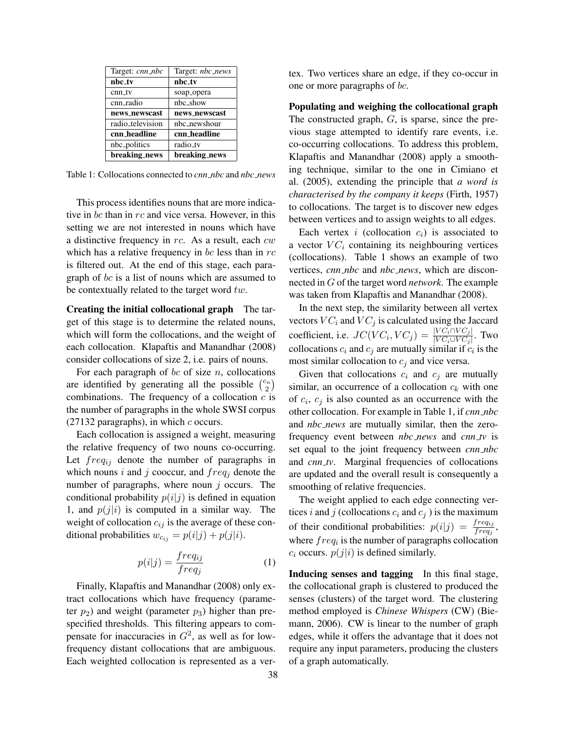| Target: cnn_nbc  | Target: <i>nbc_news</i> |
|------------------|-------------------------|
| nbc_tv           | nbc_tv                  |
| cnn tv           | soap_opera              |
| cnn_radio        | nbc show                |
| news_newscast    | news_newscast           |
| radio_television | nbc_newshour            |
| cnn_headline     | cnn_headline            |
| nbc_politics     | radio_tv                |
| breaking_news    | breaking_news           |

Table 1: Collocations connected to *cnn nbc* and *nbc news*

This process identifies nouns that are more indicative in bc than in rc and vice versa. However, in this setting we are not interested in nouns which have a distinctive frequency in  $rc$ . As a result, each  $cw$ which has a relative frequency in  $bc$  less than in  $rc$ is filtered out. At the end of this stage, each paragraph of bc is a list of nouns which are assumed to be contextually related to the target word  $tw$ .

Creating the initial collocational graph The target of this stage is to determine the related nouns, which will form the collocations, and the weight of each collocation. Klapaftis and Manandhar (2008) consider collocations of size 2, i.e. pairs of nouns.

For each paragraph of  $bc$  of size  $n$ , collocations are identified by generating all the possible  $\binom{c_n}{2}$  $\binom{2n}{2}$ combinations. The frequency of a collocation  $c$  is the number of paragraphs in the whole SWSI corpus  $(27132 \text{ paragraphs})$ , in which c occurs.

Each collocation is assigned a weight, measuring the relative frequency of two nouns co-occurring. Let  $freq_{ij}$  denote the number of paragraphs in which nouns i and j cooccur, and  $freq_i$  denote the number of paragraphs, where noun  $j$  occurs. The conditional probability  $p(i|j)$  is defined in equation 1, and  $p(j|i)$  is computed in a similar way. The weight of collocation  $c_{ij}$  is the average of these conditional probabilities  $w_{c_{ij}} = p(i|j) + p(j|i)$ .

$$
p(i|j) = \frac{freq_{ij}}{freq_j} \tag{1}
$$

Finally, Klapaftis and Manandhar (2008) only extract collocations which have frequency (parameter  $p_2$ ) and weight (parameter  $p_3$ ) higher than prespecified thresholds. This filtering appears to compensate for inaccuracies in  $G^2$ , as well as for lowfrequency distant collocations that are ambiguous. Each weighted collocation is represented as a vertex. Two vertices share an edge, if they co-occur in one or more paragraphs of bc.

Populating and weighing the collocational graph The constructed graph,  $G$ , is sparse, since the previous stage attempted to identify rare events, i.e. co-occurring collocations. To address this problem, Klapaftis and Manandhar (2008) apply a smoothing technique, similar to the one in Cimiano et al. (2005), extending the principle that *a word is characterised by the company it keeps* (Firth, 1957) to collocations. The target is to discover new edges between vertices and to assign weights to all edges.

Each vertex  $i$  (collocation  $c_i$ ) is associated to a vector  $VC_i$  containing its neighbouring vertices (collocations). Table 1 shows an example of two vertices, *cnn nbc* and *nbc news*, which are disconnected in G of the target word *network*. The example was taken from Klapaftis and Manandhar (2008).

In the next step, the similarity between all vertex vectors  $VC_i$  and  $VC_j$  is calculated using the Jaccard coefficient, i.e.  $JC(VC_i, VC_j) = \frac{|VC_i \cap VC_j|}{|VC_i \cup VC_j|}$ . Two collocations  $c_i$  and  $c_j$  are mutually similar if  $c_i$  is the most similar collocation to  $c_i$  and vice versa.

Given that collocations  $c_i$  and  $c_j$  are mutually similar, an occurrence of a collocation  $c_k$  with one of  $c_i$ ,  $c_j$  is also counted as an occurrence with the other collocation. For example in Table 1, if *cnn nbc* and *nbc news* are mutually similar, then the zerofrequency event between *nbc news* and *cnn tv* is set equal to the joint frequency between *cnn nbc* and *cnn tv*. Marginal frequencies of collocations are updated and the overall result is consequently a smoothing of relative frequencies.

The weight applied to each edge connecting vertices i and j (collocations  $c_i$  and  $c_j$ ) is the maximum of their conditional probabilities:  $p(i|j) = \frac{freq_{ij}}{freq_j}$ , where  $freq_i$  is the number of paragraphs collocation  $c_i$  occurs.  $p(j|i)$  is defined similarly.

Inducing senses and tagging In this final stage, the collocational graph is clustered to produced the senses (clusters) of the target word. The clustering method employed is *Chinese Whispers* (CW) (Biemann, 2006). CW is linear to the number of graph edges, while it offers the advantage that it does not require any input parameters, producing the clusters of a graph automatically.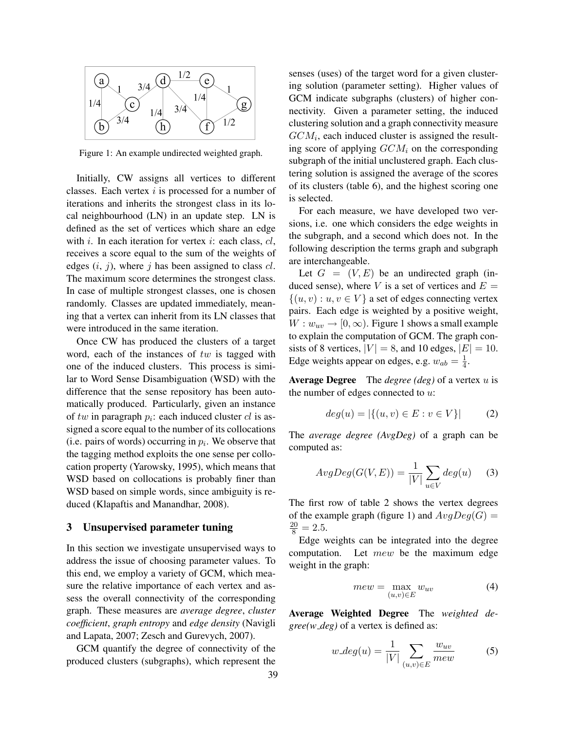

Figure 1: An example undirected weighted graph.

Initially, CW assigns all vertices to different classes. Each vertex  $i$  is processed for a number of iterations and inherits the strongest class in its local neighbourhood (LN) in an update step. LN is defined as the set of vertices which share an edge with i. In each iteration for vertex i: each class,  $cl$ , receives a score equal to the sum of the weights of edges  $(i, j)$ , where j has been assigned to class  $cl$ . The maximum score determines the strongest class. In case of multiple strongest classes, one is chosen randomly. Classes are updated immediately, meaning that a vertex can inherit from its LN classes that were introduced in the same iteration.

Once CW has produced the clusters of a target word, each of the instances of tw is tagged with one of the induced clusters. This process is similar to Word Sense Disambiguation (WSD) with the difference that the sense repository has been automatically produced. Particularly, given an instance of  $tw$  in paragraph  $p_i$ : each induced cluster  $cl$  is assigned a score equal to the number of its collocations (i.e. pairs of words) occurring in  $p_i$ . We observe that the tagging method exploits the one sense per collocation property (Yarowsky, 1995), which means that WSD based on collocations is probably finer than WSD based on simple words, since ambiguity is reduced (Klapaftis and Manandhar, 2008).

#### 3 Unsupervised parameter tuning

In this section we investigate unsupervised ways to address the issue of choosing parameter values. To this end, we employ a variety of GCM, which measure the relative importance of each vertex and assess the overall connectivity of the corresponding graph. These measures are *average degree*, *cluster coefficient*, *graph entropy* and *edge density* (Navigli and Lapata, 2007; Zesch and Gurevych, 2007).

GCM quantify the degree of connectivity of the produced clusters (subgraphs), which represent the senses (uses) of the target word for a given clustering solution (parameter setting). Higher values of GCM indicate subgraphs (clusters) of higher connectivity. Given a parameter setting, the induced clustering solution and a graph connectivity measure  $GCM_i$ , each induced cluster is assigned the resulting score of applying  $GCM_i$  on the corresponding subgraph of the initial unclustered graph. Each clustering solution is assigned the average of the scores of its clusters (table 6), and the highest scoring one is selected.

For each measure, we have developed two versions, i.e. one which considers the edge weights in the subgraph, and a second which does not. In the following description the terms graph and subgraph are interchangeable.

Let  $G = (V, E)$  be an undirected graph (induced sense), where V is a set of vertices and  $E =$  $\{(u, v) : u, v \in V\}$  a set of edges connecting vertex pairs. Each edge is weighted by a positive weight,  $W: w_{uv} \rightarrow [0, \infty)$ . Figure 1 shows a small example to explain the computation of GCM. The graph consists of 8 vertices,  $|V| = 8$ , and 10 edges,  $|E| = 10$ . Edge weights appear on edges, e.g.  $w_{ab} = \frac{1}{4}$  $\frac{1}{4}$ .

Average Degree The *degree (deg)* of a vertex u is the number of edges connected to  $u$ :

$$
deg(u) = |\{(u, v) \in E : v \in V\}|
$$
 (2)

The *average degree (AvgDeg)* of a graph can be computed as:

$$
AvgDeg(G(V,E)) = \frac{1}{|V|} \sum_{u \in V} deg(u) \quad (3)
$$

The first row of table 2 shows the vertex degrees of the example graph (figure 1) and  $AvgDeg(G)$  =  $\frac{20}{8} = 2.5.$ 

Edge weights can be integrated into the degree computation. Let  $mew$  be the maximum edge weight in the graph:

$$
mew = \max_{(u,v)\in E} w_{uv} \tag{4}
$$

Average Weighted Degree The *weighted degree(w deg)* of a vertex is defined as:

$$
w\_{deg}(u) = \frac{1}{|V|} \sum_{(u,v)\in E} \frac{w_{uv}}{mew}
$$
 (5)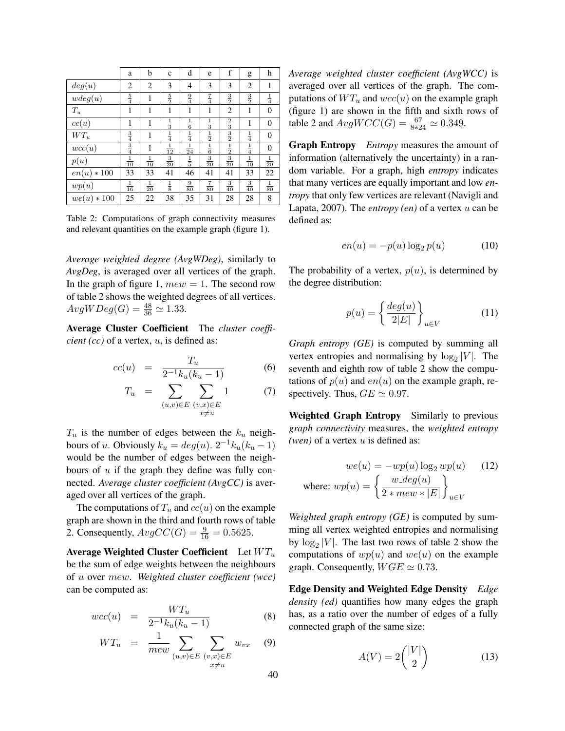|                 | a              | b              | $\mathbf{c}$   | d              | e                            | f              | g              | h              |
|-----------------|----------------|----------------|----------------|----------------|------------------------------|----------------|----------------|----------------|
| deg(u)          | 2              | 2              | 3              | 4              | 3                            | 3              | $\overline{2}$ | 1              |
| wdeg(u)         | $\frac{5}{4}$  | 1              | $\frac{5}{2}$  | $\frac{9}{4}$  | $\frac{7}{4}$                | $\frac{3}{2}$  | $\frac{3}{2}$  | $\frac{1}{4}$  |
| $\mathcal{T}_u$ | 1              | 1              | 1              | 1              | 1                            | 2              | 1              | 0              |
| cc(u)           | 1              | 1              | $\frac{1}{3}$  | $\frac{1}{6}$  | $\frac{1}{3}$                | $\frac{2}{3}$  | 1              | $\overline{0}$ |
| $WT_u$          | $\frac{3}{4}$  | 1              | $\frac{1}{4}$  | $\frac{1}{4}$  | $\frac{1}{2}$                | $\frac{3}{2}$  | $\frac{1}{4}$  | $\theta$       |
| wcc(u)          | $\frac{3}{4}$  | 1              | $\frac{1}{12}$ | $\frac{1}{24}$ | $\frac{1}{6}$ $\frac{3}{20}$ | $\frac{1}{2}$  | $\frac{1}{4}$  | 0              |
| p(u)            | $\frac{1}{10}$ | $\frac{1}{10}$ | $\frac{3}{20}$ | $\frac{1}{5}$  |                              | $\frac{3}{20}$ | $\frac{1}{10}$ | $\frac{1}{20}$ |
| $en(u) * 100$   | 33             | 33             | 41             | 46             | 41                           | 41             | 33             | 22             |
| wp(u)           | $\frac{1}{16}$ | $\frac{1}{20}$ | $\frac{1}{8}$  | $\frac{9}{80}$ | $\frac{7}{80}$               | $\frac{3}{40}$ | $\frac{3}{40}$ | $\frac{1}{80}$ |
| $we(u) * 100$   | 25             | 22             | 38             | 35             | 31                           | 28             | 28             | 8              |

Table 2: Computations of graph connectivity measures and relevant quantities on the example graph (figure 1).

*Average weighted degree (AvgWDeg)*, similarly to *AvgDeg*, is averaged over all vertices of the graph. In the graph of figure 1,  $mew = 1$ . The second row of table 2 shows the weighted degrees of all vertices.  $AvgWDeg(G) = \frac{48}{36} \simeq 1.33.$ 

Average Cluster Coefficient The *cluster coefficient (cc)* of a vertex, *u*, is defined as:

$$
cc(u) = \frac{T_u}{2^{-1}k_u(k_u - 1)} \tag{6}
$$

$$
T_u = \sum_{\substack{(u,v)\in E \ (v,x)\in E}} \sum_{\substack{(v,x)\in E \ x\neq u}} 1 \tag{7}
$$

 $T_u$  is the number of edges between the  $k_u$  neighbours of u. Obviously  $k_u = deg(u)$ .  $2^{-1}k_u(k_u - 1)$ would be the number of edges between the neighbours of  $u$  if the graph they define was fully connected. *Average cluster coefficient (AvgCC)* is averaged over all vertices of the graph.

The computations of  $T_u$  and  $cc(u)$  on the example graph are shown in the third and fourth rows of table 2. Consequently,  $AvgCC(G) = \frac{9}{16} = 0.5625$ .

Average Weighted Cluster Coefficient Let  $WT_u$ be the sum of edge weights between the neighbours of u over mew. *Weighted cluster coefficient (wcc)* can be computed as:

$$
wcc(u) = \frac{WT_u}{2^{-1}k_u(k_u - 1)} \tag{8}
$$

$$
WT_u = \frac{1}{mew} \sum_{(u,v) \in E} \sum_{\substack{(v,x) \in E \\ x \neq u}} w_{vx} \quad (9)
$$

*Average weighted cluster coefficient (AvgWCC)* is averaged over all vertices of the graph. The computations of  $WT_u$  and  $wcc(u)$  on the example graph (figure 1) are shown in the fifth and sixth rows of table 2 and  $AvgWCC(G) = \frac{67}{8*24} \simeq 0.349$ .

Graph Entropy *Entropy* measures the amount of information (alternatively the uncertainty) in a random variable. For a graph, high *entropy* indicates that many vertices are equally important and low *entropy* that only few vertices are relevant (Navigli and Lapata, 2007). The *entropy (en)* of a vertex u can be defined as:

$$
en(u) = -p(u)\log_2 p(u) \tag{10}
$$

The probability of a vertex,  $p(u)$ , is determined by the degree distribution:

$$
p(u) = \left\{ \frac{deg(u)}{2|E|} \right\}_{u \in V}
$$
 (11)

*Graph entropy (GE)* is computed by summing all vertex entropies and normalising by  $log_2|V|$ . The seventh and eighth row of table 2 show the computations of  $p(u)$  and  $en(u)$  on the example graph, respectively. Thus,  $GE \simeq 0.97$ .

Weighted Graph Entropy Similarly to previous *graph connectivity* measures, the *weighted entropy (wen)* of a vertex u is defined as:

$$
we(u) = -wp(u) \log_2 wp(u)
$$
 (12)  
where: 
$$
wp(u) = \left\{ \frac{w \text{ } deg(u)}{2 * mew * |E|} \right\}_{u \in V}
$$

*Weighted graph entropy (GE)* is computed by summing all vertex weighted entropies and normalising by  $\log_2|V|$ . The last two rows of table 2 show the computations of  $wp(u)$  and  $we(u)$  on the example graph. Consequently,  $WGE \simeq 0.73$ .

Edge Density and Weighted Edge Density *Edge density (ed)* quantifies how many edges the graph has, as a ratio over the number of edges of a fully connected graph of the same size:

$$
A(V) = 2\binom{|V|}{2} \tag{13}
$$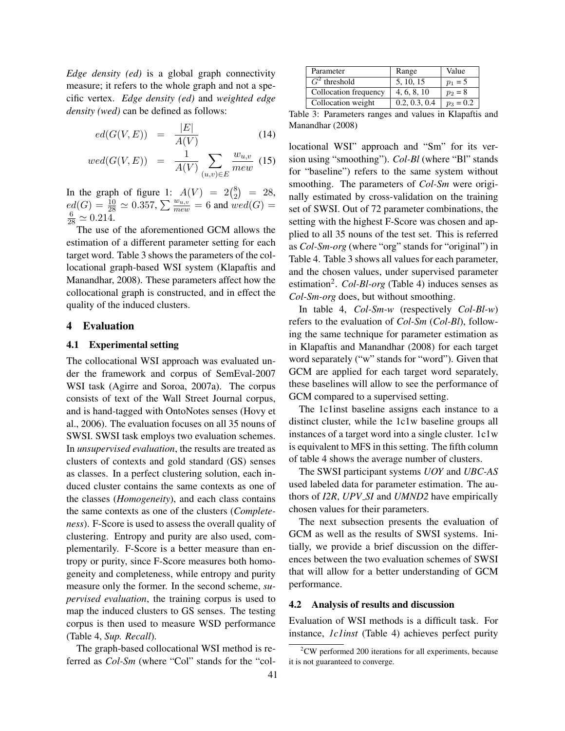*Edge density (ed)* is a global graph connectivity measure; it refers to the whole graph and not a specific vertex. *Edge density (ed)* and *weighted edge density (wed)* can be defined as follows:

$$
ed(G(V, E)) = \frac{|E|}{A(V)} \tag{14}
$$

$$
wed(G(V, E)) = \frac{1}{A(V)} \sum_{(u,v) \in E} \frac{w_{u,v}}{mew} \tag{15}
$$

In the graph of figure 1:  $A(V) = 2\binom{8}{2}$  $\binom{8}{2}$  = 28,  $ed(G) = \frac{10}{28} \simeq 0.357$ ,  $\sum \frac{w_{u,v}}{mew} = 6$  and  $wed(G) =$  $\frac{6}{28} \simeq 0.214.$ 

The use of the aforementioned GCM allows the estimation of a different parameter setting for each target word. Table 3 shows the parameters of the collocational graph-based WSI system (Klapaftis and Manandhar, 2008). These parameters affect how the collocational graph is constructed, and in effect the quality of the induced clusters.

#### 4 Evaluation

## 4.1 Experimental setting

The collocational WSI approach was evaluated under the framework and corpus of SemEval-2007 WSI task (Agirre and Soroa, 2007a). The corpus consists of text of the Wall Street Journal corpus, and is hand-tagged with OntoNotes senses (Hovy et al., 2006). The evaluation focuses on all 35 nouns of SWSI. SWSI task employs two evaluation schemes. In *unsupervised evaluation*, the results are treated as clusters of contexts and gold standard (GS) senses as classes. In a perfect clustering solution, each induced cluster contains the same contexts as one of the classes (*Homogeneity*), and each class contains the same contexts as one of the clusters (*Completeness*). F-Score is used to assess the overall quality of clustering. Entropy and purity are also used, complementarily. F-Score is a better measure than entropy or purity, since F-Score measures both homogeneity and completeness, while entropy and purity measure only the former. In the second scheme, *supervised evaluation*, the training corpus is used to map the induced clusters to GS senses. The testing corpus is then used to measure WSD performance (Table 4, *Sup. Recall*).

The graph-based collocational WSI method is referred as *Col-Sm* (where "Col" stands for the "col-

| Parameter             | Range         | Value       |
|-----------------------|---------------|-------------|
| $G2$ threshold        | 5, 10, 15     | $p_1 = 5$   |
| Collocation frequency | 4, 6, 8, 10   | $p_2 = 8$   |
| Collocation weight    | 0.2, 0.3, 0.4 | $p_3 = 0.2$ |

Table 3: Parameters ranges and values in Klapaftis and Manandhar (2008)

locational WSI" approach and "Sm" for its version using "smoothing"). *Col-Bl* (where "Bl" stands for "baseline") refers to the same system without smoothing. The parameters of *Col-Sm* were originally estimated by cross-validation on the training set of SWSI. Out of 72 parameter combinations, the setting with the highest F-Score was chosen and applied to all 35 nouns of the test set. This is referred as *Col-Sm-org* (where "org" stands for "original") in Table 4. Table 3 shows all values for each parameter, and the chosen values, under supervised parameter estimation<sup>2</sup>. *Col-Bl-org* (Table 4) induces senses as *Col-Sm-org* does, but without smoothing.

In table 4, *Col-Sm-w* (respectively *Col-Bl-w*) refers to the evaluation of *Col-Sm* (*Col-Bl*), following the same technique for parameter estimation as in Klapaftis and Manandhar (2008) for each target word separately ("w" stands for "word"). Given that GCM are applied for each target word separately, these baselines will allow to see the performance of GCM compared to a supervised setting.

The 1c1inst baseline assigns each instance to a distinct cluster, while the 1c1w baseline groups all instances of a target word into a single cluster. 1c1w is equivalent to MFS in this setting. The fifth column of table 4 shows the average number of clusters.

The SWSI participant systems *UOY* and *UBC-AS* used labeled data for parameter estimation. The authors of *I2R*, *UPV SI* and *UMND2* have empirically chosen values for their parameters.

The next subsection presents the evaluation of GCM as well as the results of SWSI systems. Initially, we provide a brief discussion on the differences between the two evaluation schemes of SWSI that will allow for a better understanding of GCM performance.

## 4.2 Analysis of results and discussion

Evaluation of WSI methods is a difficult task. For instance, *1c1inst* (Table 4) achieves perfect purity

 $2$ CW performed 200 iterations for all experiments, because it is not guaranteed to converge.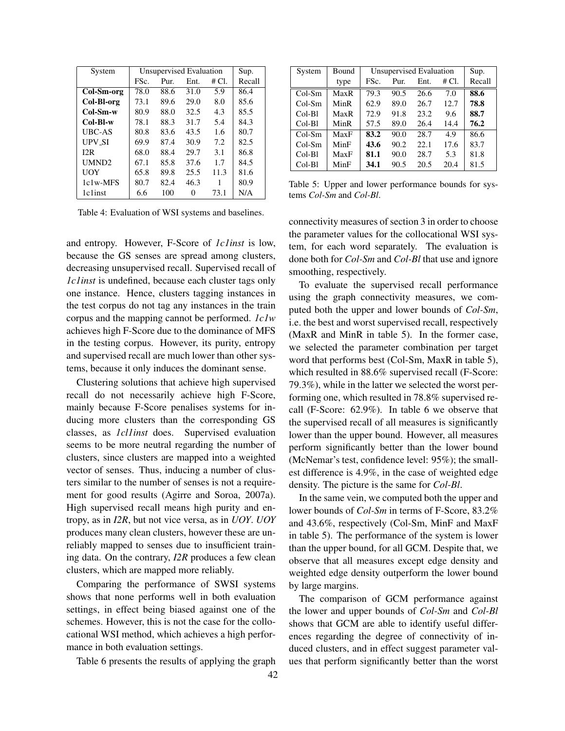| System            | Unsupervised Evaluation | Sup. |       |        |      |
|-------------------|-------------------------|------|-------|--------|------|
|                   | FSc.<br>Ent.<br>Pur.    |      | # CI. | Recall |      |
| Col-Sm-org        | 78.0                    | 88.6 | 31.0  | 5.9    | 86.4 |
| Col-Bl-org        | 73.1                    | 89.6 | 29.0  | 8.0    | 85.6 |
| Col-Sm-w          | 80.9                    | 88.0 | 32.5  | 4.3    | 85.5 |
| Col-Bl-w          | 78.1                    | 88.3 | 31.7  | 5.4    | 84.3 |
| UBC-AS            | 80.8                    | 83.6 | 43.5  | 1.6    | 80.7 |
| <b>UPV SI</b>     | 69.9                    | 87.4 | 30.9  | 7.2    | 82.5 |
| I2R               | 68.0                    | 88.4 | 29.7  | 3.1    | 86.8 |
| UMND <sub>2</sub> | 67.1                    | 85.8 | 37.6  | 1.7    | 84.5 |
| <b>UOY</b>        | 65.8                    | 89.8 | 25.5  | 11.3   | 81.6 |
| 1c1w-MFS          | 80.7                    | 82.4 | 46.3  | 1      | 80.9 |
| 1c1inst           | 6.6                     | 100  | 0     | 73.1   | N/A  |

Table 4: Evaluation of WSI systems and baselines.

and entropy. However, F-Score of *1c1inst* is low, because the GS senses are spread among clusters, decreasing unsupervised recall. Supervised recall of *1c1inst* is undefined, because each cluster tags only one instance. Hence, clusters tagging instances in the test corpus do not tag any instances in the train corpus and the mapping cannot be performed. *1c1w* achieves high F-Score due to the dominance of MFS in the testing corpus. However, its purity, entropy and supervised recall are much lower than other systems, because it only induces the dominant sense.

Clustering solutions that achieve high supervised recall do not necessarily achieve high F-Score, mainly because F-Score penalises systems for inducing more clusters than the corresponding GS classes, as *1cl1inst* does. Supervised evaluation seems to be more neutral regarding the number of clusters, since clusters are mapped into a weighted vector of senses. Thus, inducing a number of clusters similar to the number of senses is not a requirement for good results (Agirre and Soroa, 2007a). High supervised recall means high purity and entropy, as in *I2R*, but not vice versa, as in *UOY*. *UOY* produces many clean clusters, however these are unreliably mapped to senses due to insufficient training data. On the contrary, *I2R* produces a few clean clusters, which are mapped more reliably.

Comparing the performance of SWSI systems shows that none performs well in both evaluation settings, in effect being biased against one of the schemes. However, this is not the case for the collocational WSI method, which achieves a high performance in both evaluation settings.

Table 6 presents the results of applying the graph

| System   | Bound | Unsupervised Evaluation | Sup. |      |       |        |
|----------|-------|-------------------------|------|------|-------|--------|
|          | type  | FSc.<br>Pur.            |      | Ent. | # Cl. | Recall |
| $Col-Sm$ | MaxR  | 79.3                    | 90.5 | 26.6 | 7.0   | 88.6   |
| $Col-Sm$ | MinR  | 62.9                    | 89.0 | 26.7 | 12.7  | 78.8   |
| Col-Bl   | MaxR  | 72.9                    | 91.8 | 23.2 | 9.6   | 88.7   |
| Col-Bl   | MinR  | 57.5                    | 89.0 | 26.4 | 14.4  | 76.2   |
| $Col-Sm$ | MaxF  | 83.2                    | 90.0 | 28.7 | 4.9   | 86.6   |
| $Col-Sm$ | MinF  | 43.6                    | 90.2 | 22.1 | 17.6  | 83.7   |
| Col-Bl   | MaxF  | 81.1                    | 90.0 | 28.7 | 5.3   | 81.8   |
| Col-Bl   | MinF  | 34.1                    | 90.5 | 20.5 | 20.4  | 81.5   |

Table 5: Upper and lower performance bounds for systems *Col-Sm* and *Col-Bl*.

connectivity measures of section 3 in order to choose the parameter values for the collocational WSI system, for each word separately. The evaluation is done both for *Col-Sm* and *Col-Bl* that use and ignore smoothing, respectively.

To evaluate the supervised recall performance using the graph connectivity measures, we computed both the upper and lower bounds of *Col-Sm*, i.e. the best and worst supervised recall, respectively (MaxR and MinR in table 5). In the former case, we selected the parameter combination per target word that performs best (Col-Sm, MaxR in table 5), which resulted in 88.6% supervised recall (F-Score: 79.3%), while in the latter we selected the worst performing one, which resulted in 78.8% supervised recall (F-Score: 62.9%). In table 6 we observe that the supervised recall of all measures is significantly lower than the upper bound. However, all measures perform significantly better than the lower bound (McNemar's test, confidence level: 95%); the smallest difference is 4.9%, in the case of weighted edge density. The picture is the same for *Col-Bl*.

In the same vein, we computed both the upper and lower bounds of *Col-Sm* in terms of F-Score, 83.2% and 43.6%, respectively (Col-Sm, MinF and MaxF in table 5). The performance of the system is lower than the upper bound, for all GCM. Despite that, we observe that all measures except edge density and weighted edge density outperform the lower bound by large margins.

The comparison of GCM performance against the lower and upper bounds of *Col-Sm* and *Col-Bl* shows that GCM are able to identify useful differences regarding the degree of connectivity of induced clusters, and in effect suggest parameter values that perform significantly better than the worst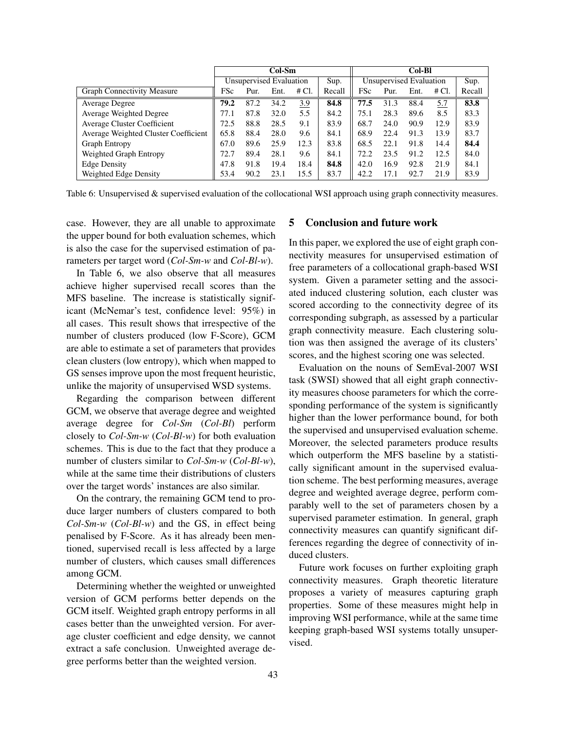|                                      | Col-Sm                  |      |      |       |        | Col-Bl                  |      |      |       |        |
|--------------------------------------|-------------------------|------|------|-------|--------|-------------------------|------|------|-------|--------|
|                                      | Unsupervised Evaluation |      |      |       | Sup.   | Unsupervised Evaluation |      |      | Sup.  |        |
| <b>Graph Connectivity Measure</b>    | FSc                     | Pur. | Ent. | # Cl. | Recall | FSc                     | Pur. | Ent. | # Cl. | Recall |
| Average Degree                       | 79.2                    | 87.2 | 34.2 | 3.9   | 84.8   | 77.5                    | 31.3 | 88.4 | 5.7   | 83.8   |
| Average Weighted Degree              | 77.1                    | 87.8 | 32.0 | 5.5   | 84.2   | 75.1                    | 28.3 | 89.6 | 8.5   | 83.3   |
| Average Cluster Coefficient          | 72.5                    | 88.8 | 28.5 | 9.1   | 83.9   | 68.7                    | 24.0 | 90.9 | 12.9  | 83.9   |
| Average Weighted Cluster Coefficient | 65.8                    | 88.4 | 28.0 | 9.6   | 84.1   | 68.9                    | 22.4 | 91.3 | 13.9  | 83.7   |
| <b>Graph Entropy</b>                 | 67.0                    | 89.6 | 25.9 | 12.3  | 83.8   | 68.5                    | 22.1 | 91.8 | 14.4  | 84.4   |
| Weighted Graph Entropy               | 72.7                    | 89.4 | 28.1 | 9.6   | 84.1   | 72.2                    | 23.5 | 91.2 | 12.5  | 84.0   |
| <b>Edge Density</b>                  | 47.8                    | 91.8 | 19.4 | 18.4  | 84.8   | 42.0                    | 16.9 | 92.8 | 21.9  | 84.1   |
| Weighted Edge Density                | 53.4                    | 90.2 | 23.1 | 15.5  | 83.7   | 42.2                    | 17.1 | 92.7 | 21.9  | 83.9   |

Table 6: Unsupervised & supervised evaluation of the collocational WSI approach using graph connectivity measures.

case. However, they are all unable to approximate the upper bound for both evaluation schemes, which is also the case for the supervised estimation of parameters per target word (*Col-Sm-w* and *Col-Bl-w*).

In Table 6, we also observe that all measures achieve higher supervised recall scores than the MFS baseline. The increase is statistically significant (McNemar's test, confidence level: 95%) in all cases. This result shows that irrespective of the number of clusters produced (low F-Score), GCM are able to estimate a set of parameters that provides clean clusters (low entropy), which when mapped to GS senses improve upon the most frequent heuristic, unlike the majority of unsupervised WSD systems.

Regarding the comparison between different GCM, we observe that average degree and weighted average degree for *Col-Sm* (*Col-Bl*) perform closely to *Col-Sm-w* (*Col-Bl-w*) for both evaluation schemes. This is due to the fact that they produce a number of clusters similar to *Col-Sm-w* (*Col-Bl-w*), while at the same time their distributions of clusters over the target words' instances are also similar.

On the contrary, the remaining GCM tend to produce larger numbers of clusters compared to both *Col-Sm-w* (*Col-Bl-w*) and the GS, in effect being penalised by F-Score. As it has already been mentioned, supervised recall is less affected by a large number of clusters, which causes small differences among GCM.

Determining whether the weighted or unweighted version of GCM performs better depends on the GCM itself. Weighted graph entropy performs in all cases better than the unweighted version. For average cluster coefficient and edge density, we cannot extract a safe conclusion. Unweighted average degree performs better than the weighted version.

# 5 Conclusion and future work

In this paper, we explored the use of eight graph connectivity measures for unsupervised estimation of free parameters of a collocational graph-based WSI system. Given a parameter setting and the associated induced clustering solution, each cluster was scored according to the connectivity degree of its corresponding subgraph, as assessed by a particular graph connectivity measure. Each clustering solution was then assigned the average of its clusters' scores, and the highest scoring one was selected.

Evaluation on the nouns of SemEval-2007 WSI task (SWSI) showed that all eight graph connectivity measures choose parameters for which the corresponding performance of the system is significantly higher than the lower performance bound, for both the supervised and unsupervised evaluation scheme. Moreover, the selected parameters produce results which outperform the MFS baseline by a statistically significant amount in the supervised evaluation scheme. The best performing measures, average degree and weighted average degree, perform comparably well to the set of parameters chosen by a supervised parameter estimation. In general, graph connectivity measures can quantify significant differences regarding the degree of connectivity of induced clusters.

Future work focuses on further exploiting graph connectivity measures. Graph theoretic literature proposes a variety of measures capturing graph properties. Some of these measures might help in improving WSI performance, while at the same time keeping graph-based WSI systems totally unsupervised.